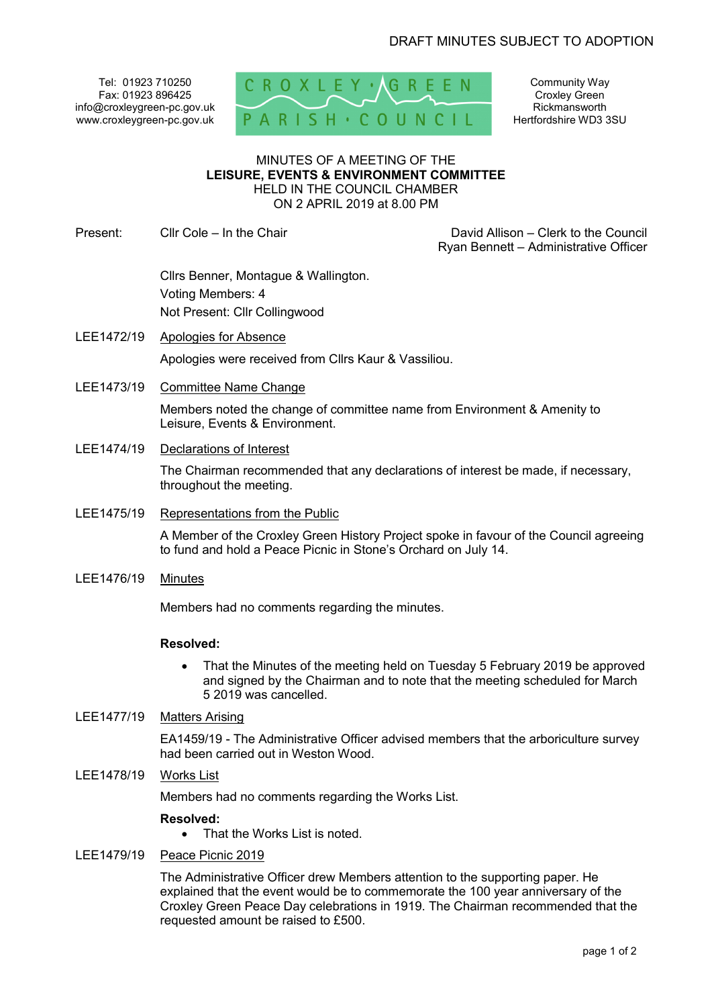Tel: 01923 710250 Fax: 01923 896425 info@croxleygreen-pc.gov.uk www.croxleygreen-pc.gov.uk



Community Way Croxley Green Rickmansworth Hertfordshire WD3 3SU

#### MINUTES OF A MEETING OF THE **LEISURE, EVENTS & ENVIRONMENT COMMITTEE** HELD IN THE COUNCIL CHAMBER ON 2 APRIL 2019 at 8.00 PM

Present: Cllr Cole – In the Chair David Allison – Clerk to the Council

Ryan Bennett – Administrative Officer

 Cllrs Benner, Montague & Wallington. Voting Members: 4 Not Present: Cllr Collingwood

- LEE1472/19 Apologies for Absence Apologies were received from Cllrs Kaur & Vassiliou.
- LEE1473/19 Committee Name Change

Members noted the change of committee name from Environment & Amenity to Leisure, Events & Environment.

LEE1474/19 Declarations of Interest

The Chairman recommended that any declarations of interest be made, if necessary, throughout the meeting.

LEE1475/19 Representations from the Public

A Member of the Croxley Green History Project spoke in favour of the Council agreeing to fund and hold a Peace Picnic in Stone's Orchard on July 14.

LEE1476/19 Minutes

Members had no comments regarding the minutes.

# **Resolved:**

- That the Minutes of the meeting held on Tuesday 5 February 2019 be approved and signed by the Chairman and to note that the meeting scheduled for March 5 2019 was cancelled.
- LEE1477/19 Matters Arising

EA1459/19 - The Administrative Officer advised members that the arboriculture survey had been carried out in Weston Wood.

LEE1478/19 Works List

Members had no comments regarding the Works List.

## **Resolved:**

That the Works List is noted.

LEE1479/19 Peace Picnic 2019

The Administrative Officer drew Members attention to the supporting paper. He explained that the event would be to commemorate the 100 year anniversary of the Croxley Green Peace Day celebrations in 1919. The Chairman recommended that the requested amount be raised to £500.